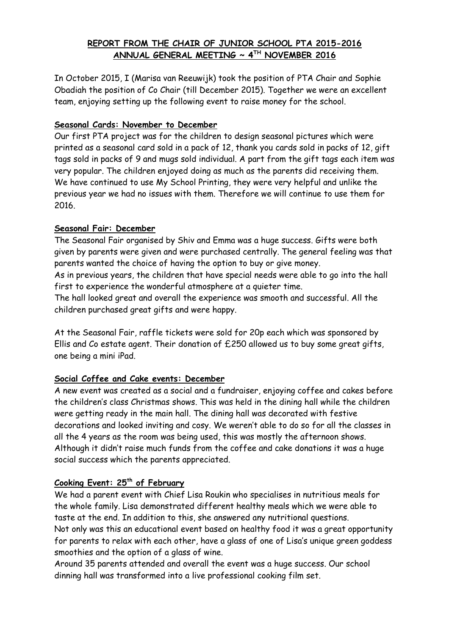## **REPORT FROM THE CHAIR OF JUNIOR SCHOOL PTA 2015-2016 ANNUAL GENERAL MEETING ~ 4TH NOVEMBER 2016**

In October 2015, I (Marisa van Reeuwijk) took the position of PTA Chair and Sophie Obadiah the position of Co Chair (till December 2015). Together we were an excellent team, enjoying setting up the following event to raise money for the school.

## **Seasonal Cards: November to December**

Our first PTA project was for the children to design seasonal pictures which were printed as a seasonal card sold in a pack of 12, thank you cards sold in packs of 12, gift tags sold in packs of 9 and mugs sold individual. A part from the gift tags each item was very popular. The children enjoyed doing as much as the parents did receiving them. We have continued to use My School Printing, they were very helpful and unlike the previous year we had no issues with them. Therefore we will continue to use them for 2016.

## **Seasonal Fair: December**

The Seasonal Fair organised by Shiv and Emma was a huge success. Gifts were both given by parents were given and were purchased centrally. The general feeling was that parents wanted the choice of having the option to buy or give money.

As in previous years, the children that have special needs were able to go into the hall first to experience the wonderful atmosphere at a quieter time.

The hall looked great and overall the experience was smooth and successful. All the children purchased great gifts and were happy.

At the Seasonal Fair, raffle tickets were sold for 20p each which was sponsored by Ellis and Co estate agent. Their donation of £250 allowed us to buy some great gifts, one being a mini iPad.

# **Social Coffee and Cake events: December**

A new event was created as a social and a fundraiser, enjoying coffee and cakes before the children's class Christmas shows. This was held in the dining hall while the children were getting ready in the main hall. The dining hall was decorated with festive decorations and looked inviting and cosy. We weren't able to do so for all the classes in all the 4 years as the room was being used, this was mostly the afternoon shows. Although it didn't raise much funds from the coffee and cake donations it was a huge social success which the parents appreciated.

# **Cooking Event: 25th of February**

We had a parent event with Chief Lisa Roukin who specialises in nutritious meals for the whole family. Lisa demonstrated different healthy meals which we were able to taste at the end. In addition to this, she answered any nutritional questions. Not only was this an educational event based on healthy food it was a great opportunity for parents to relax with each other, have a glass of one of Lisa's unique green goddess smoothies and the option of a glass of wine.

Around 35 parents attended and overall the event was a huge success. Our school dinning hall was transformed into a live professional cooking film set.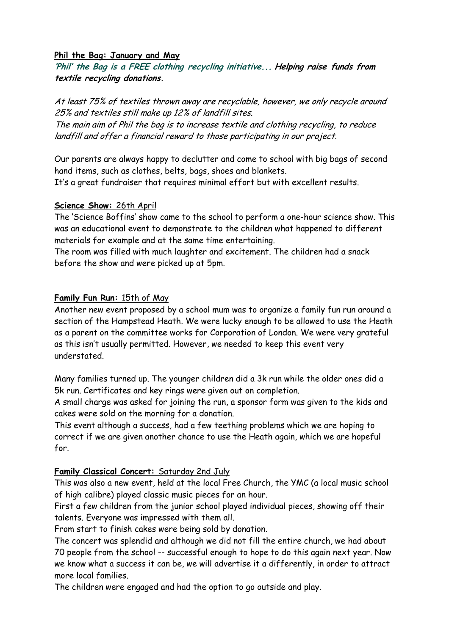#### **Phil the Bag: January and May**

**'Phil' the Bag is a FREE clothing recycling initiative... Helping raise funds from textile recycling donations.**

At least 75% of textiles thrown away are recyclable, however, we only recycle around 25% and textiles still make up 12% of landfill sites.

The main aim of Phil the bag is to increase textile and clothing recycling, to reduce landfill and offer a financial reward to those participating in our project.

Our parents are always happy to declutter and come to school with big bags of second hand items, such as clothes, belts, bags, shoes and blankets.

It's a great fundraiser that requires minimal effort but with excellent results.

#### **Science Show:** 26th April

The 'Science Boffins' show came to the school to perform a one-hour science show. This was an educational event to demonstrate to the children what happened to different materials for example and at the same time entertaining.

The room was filled with much laughter and excitement. The children had a snack before the show and were picked up at 5pm.

## **Family Fun Run:** 15th of May

Another new event proposed by a school mum was to organize a family fun run around a section of the Hampstead Heath. We were lucky enough to be allowed to use the Heath as a parent on the committee works for Corporation of London. We were very grateful as this isn't usually permitted. However, we needed to keep this event very understated.

Many families turned up. The younger children did a 3k run while the older ones did a 5k run. Certificates and key rings were given out on completion.

A small charge was asked for joining the run, a sponsor form was given to the kids and cakes were sold on the morning for a donation.

This event although a success, had a few teething problems which we are hoping to correct if we are given another chance to use the Heath again, which we are hopeful for.

## **Family Classical Concert:** Saturday 2nd July

This was also a new event, held at the local Free Church, the YMC (a local music school of high calibre) played classic music pieces for an hour.

First a few children from the junior school played individual pieces, showing off their talents. Everyone was impressed with them all.

From start to finish cakes were being sold by donation.

The concert was splendid and although we did not fill the entire church, we had about 70 people from the school -- successful enough to hope to do this again next year. Now we know what a success it can be, we will advertise it a differently, in order to attract more local families.

The children were engaged and had the option to go outside and play.